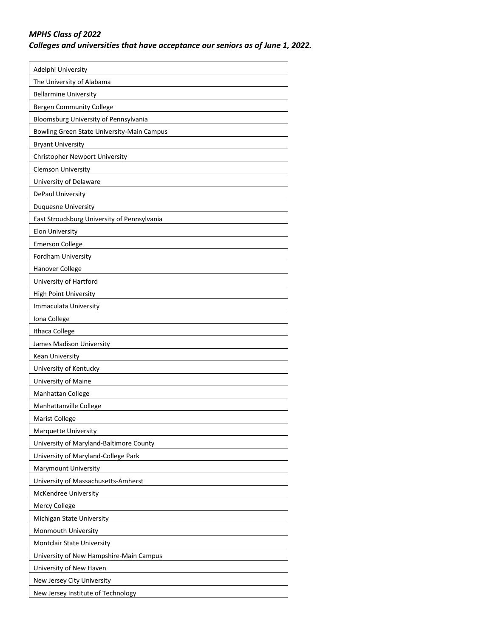## *MPHS Class of 2022*

*Colleges and universities that have acceptance our seniors as of June 1, 2022.*

| Adelphi University                          |
|---------------------------------------------|
| The University of Alabama                   |
| <b>Bellarmine University</b>                |
| <b>Bergen Community College</b>             |
| Bloomsburg University of Pennsylvania       |
| Bowling Green State University-Main Campus  |
| <b>Bryant University</b>                    |
| Christopher Newport University              |
| <b>Clemson University</b>                   |
| University of Delaware                      |
| DePaul University                           |
| Duquesne University                         |
| East Stroudsburg University of Pennsylvania |
| <b>Elon University</b>                      |
| <b>Emerson College</b>                      |
| Fordham University                          |
| Hanover College                             |
| University of Hartford                      |
| <b>High Point University</b>                |
| Immaculata University                       |
| Iona College                                |
| Ithaca College                              |
| James Madison University                    |
| Kean University                             |
| University of Kentucky                      |
| University of Maine                         |
| Manhattan College                           |
| Manhattanville College                      |
| <b>Marist College</b>                       |
| Marquette University                        |
| University of Maryland-Baltimore County     |
| University of Maryland-College Park         |
| <b>Marymount University</b>                 |
| University of Massachusetts-Amherst         |
| <b>McKendree University</b>                 |
| Mercy College                               |
| Michigan State University                   |
| Monmouth University                         |
| Montclair State University                  |
| University of New Hampshire-Main Campus     |
| University of New Haven                     |
| New Jersey City University                  |
| New Jersey Institute of Technology          |